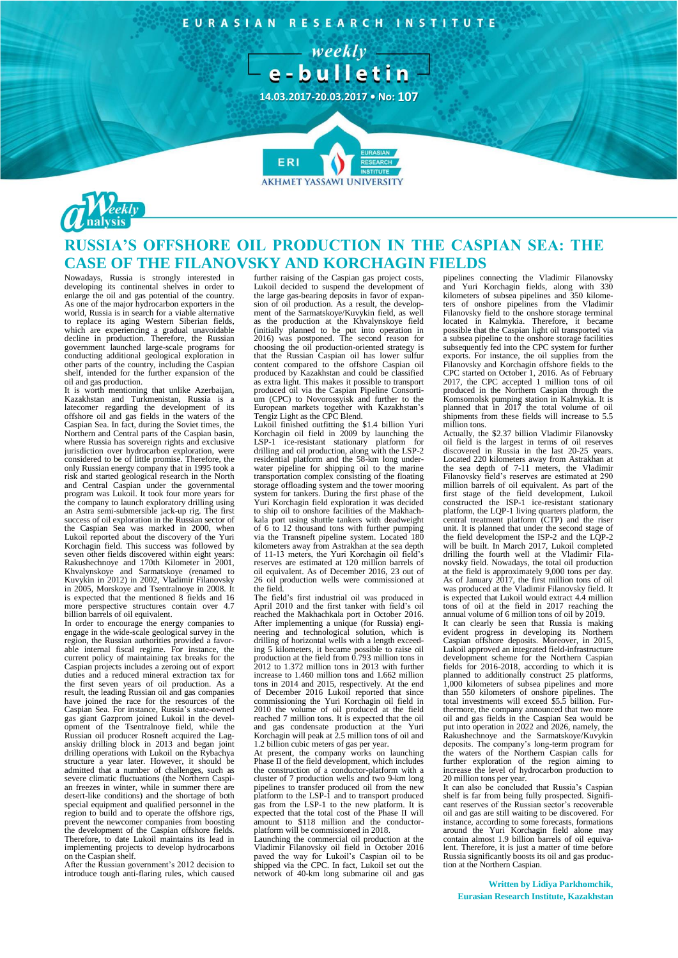EURASIAN RESEARCH INSTITUTE





# **RUSSIA'S OFFSHORE OIL PRODUCTION IN THE CASPIAN SEA: THE CASE OF THE FILANOVSKY AND KORCHAGIN FIELDS**

**AKHMET YASSAWI UNIVERSITY** 

Nowadays, Russia is strongly interested in developing its continental shelves in order to enlarge the oil and gas potential of the country. As one of the major hydrocarbon exporters in the world, Russia is in search for a viable alternative to replace its aging Western Siberian fields, which are experiencing a gradual unavoidable decline in production. Therefore, the Russian government launched large-scale programs for conducting additional geological exploration in other parts of the country, including the Caspian shelf, intended for the further expansion of the oil and gas production.

It is worth mentioning that unlike Azerbaijan, Kazakhstan and Turkmenistan, Russia is latecomer regarding the development of its offshore oil and gas fields in the waters of the Caspian Sea. In fact, during the Soviet times, the Northern and Central parts of the Caspian basin, where Russia has sovereign rights and exclusive jurisdiction over hydrocarbon exploration, were considered to be of little promise. Therefore, the only Russian energy company that in 1995 took a risk and started geological research in the North and Central Caspian under the governmental program was Lukoil. It took four more years for the company to launch exploratory drilling using an Astra semi-submersible jack-up rig. The first success of oil exploration in the Russian sector of the Caspian Sea was marked in 2000, when Lukoil reported about the discovery of the Yuri Korchagin field. This success was followed by seven other fields discovered within eight years: Rakushechnoye and 170th Kilometer in 2001, Khvalynskoye and Sarmatskoye (renamed to Kuvykin in 2012) in 2002, Vladimir Filanovsky in 2005, Morskoye and Tsentralnoye in 2008. It is expected that the mentioned 8 fields and 16 more perspective structures contain over 4.7 billion barrels of oil equivalent.

In order to encourage the energy companies to engage in the wide-scale geological survey in the region, the Russian authorities provided a favor-able internal fiscal regime. For instance, the current policy of maintaining tax breaks for the Caspian projects includes a zeroing out of export duties and a reduced mineral extraction tax for the first seven years of oil production. As a result, the leading Russian oil and gas companies have joined the race for the resources of the Caspian Sea. For instance, Russia's state-owned gas giant Gazprom joined Lukoil in the development of the Tsentralnoye field, while the Russian oil producer Rosneft acquired the Lag-anskiy drilling block in 2013 and began joint drilling operations with Lukoil on the Rybachya structure a year later. However, it should be admitted that a number of challenges, such as severe climatic fluctuations (the Northern Caspian freezes in winter, while in summer there are desert-like conditions) and the shortage of both special equipment and qualified personnel in the region to build and to operate the offshore rigs, prevent the newcomer companies from boosting the development of the Caspian offshore fields. Therefore, to date Lukoil maintains its lead in implementing projects to develop hydrocarbons on the Caspian shelf.

After the Russian government's 2012 decision to introduce tough anti-flaring rules, which caused

further raising of the Caspian gas project costs, Lukoil decided to suspend the development of the large gas-bearing deposits in favor of expan-sion of oil production. As a result, the development of the Sarmatskoye/Kuvykin field, as well as the production at the Khvalynskoye field (initially planned to be put into operation in 2016) was postponed. The second reason for choosing the oil production-oriented strategy is that the Russian Caspian oil has lower sulfur content compared to the offshore Caspian oil produced by Kazakhstan and could be classified as extra light. This makes it possible to transport produced oil via the Caspian Pipeline Consortium (CPC) to Novorossyisk and further to the European markets together with Kazakhstan's Tengiz Light as the CPC Blend.

Lukoil finished outfitting the \$1.4 billion Yuri Korchagin oil field in 2009 by launching the LSP-1 ice-resistant stationary platform for drilling and oil production, along with the LSP-2 residential platform and the 58-km long underwater pipeline for shipping oil to the marine transportation complex consisting of the floating storage offloading system and the tower mooring system for tankers. During the first phase of the Yuri Korchagin field exploration it was decided to ship oil to onshore facilities of the Makhachkala port using shuttle tankers with deadweight of 6 to 12 thousand tons with further pumping via the Transneft pipeline system. Located 180 kilometers away from Astrakhan at the sea depth of 11-13 meters, the Yuri Korchagin oil field's reserves are estimated at 120 million barrels of oil equivalent. As of December 2016, 23 out of 26 oil production wells were commissioned at the field.

The field's first industrial oil was produced in April 2010 and the first tanker with field's oil reached the Makhachkala port in October 2016. After implementing a unique (for Russia) engineering and technological solution, which drilling of horizontal wells with a length exceed-ing 5 kilometers, it became possible to raise oil production at the field from 0.793 million tons in 2012 to 1.372 million tons in 2013 with further increase to 1.460 million tons and 1.662 million tons in 2014 and 2015, respectively. At the end of December 2016 Lukoil reported that since commissioning the Yuri Korchagin oil field in 2010 the volume of oil produced at the field reached 7 million tons. It is expected that the oil and gas condensate production at the Yuri Korchagin will peak at 2.5 million tons of oil and 1.2 billion cubic meters of gas per year.

At present, the company works on launching Phase II of the field development, which includes the construction of a conductor-platform with a cluster of 7 production wells and two 9-km long pipelines to transfer produced oil from the new platform to the LSP-1 and to transport produced gas from the LSP-1 to the new platform. It is expected that the total cost of the Phase II will amount to \$118 million and the conductorplatform will be commissioned in 2018.

Launching the commercial oil production at the Vladimir Filanovsky oil field in October 2016 paved the way for Lukoil's Caspian oil to be shipped via the CPC. In fact, Lukoil set out the network of 40-km long submarine oil and gas

pipelines connecting the Vladimir Filanovsky and Yuri Korchagin fields, along with 330 kilometers of subsea pipelines and 350 kilometers of onshore pipelines from the Vladimir Filanovsky field to the onshore storage terminal located in Kalmykia. Therefore, it became possible that the Caspian light oil transported via a subsea pipeline to the onshore storage facilities subsequently fed into the CPC system for further exports. For instance, the oil supplies from the Filanovsky and Korchagin offshore fields to the CPC started on October 1, 2016. As of February 2017, the CPC accepted 1 million tons of oil produced in the Northern Caspian through the Komsomolsk pumping station in Kalmykia. It is planned that in 2017 the total volume of oil shipments from these fields will increase to 5.5 million tons.

Actually, the \$2.37 billion Vladimir Filanovsky oil field is the largest in terms of oil reserves discovered in Russia in the last 20-25 years. Located 220 kilometers away from Astrakhan at the sea depth of 7-11 meters, the Vladimir Filanovsky field's reserves are estimated at 290 million barrels of oil equivalent. As part of the first stage of the field development, Lukoil constructed the ISP-1 ice-resistant stationary platform, the LQP-1 living quarters platform, the central treatment platform (CTP) and the riser unit. It is planned that under the second stage of the field development the ISP-2 and the LQP-2 will be built. In March 2017, Lukoil completed drilling the fourth well at the Vladimir Filanovsky field. Nowadays, the total oil production at the field is approximately 9,000 tons per day. As of January 2017, the first million tons of oil was produced at the Vladimir Filanovsky field. It is expected that Lukoil would extract 4.4 million tons of oil at the field in 2017 reaching the annual volume of 6 million tons of oil by 2019. It can clearly be seen that Russia is making

evident progress in developing its Northern Caspian offshore deposits. Moreover, in 2015, Lukoil approved an integrated field-infrastructure development scheme for the Northern Caspian fields for 2016-2018, according to which it is planned to additionally construct 25 platforms, 1,000 kilometers of subsea pipelines and more than 550 kilometers of onshore pipelines. The total investments will exceed \$5.5 billion. Furthermore, the company announced that two more oil and gas fields in the Caspian Sea would be put into operation in 2022 and 2026, namely, the Rakushechnoye and the Sarmatskoye/Kuvykin deposits. The company's long-term program for waters of the Northern Caspian calls for further exploration of the region aiming to increase the level of hydrocarbon production to 20 million tons per year.

It can also be concluded that Russia's Caspian shelf is far from being fully prospected. Significant reserves of the Russian sector's recoverable oil and gas are still waiting to be discovered. For instance, according to some forecasts, formations around the Yuri Korchagin field alone may contain almost 1.9 billion barrels of oil equivalent. Therefore, it is just a matter of time before Russia significantly boosts its oil and gas production at the Northern Caspian.

## **Written by Lidiya Parkhomchik, Eurasian Research Institute, Kazakhstan**